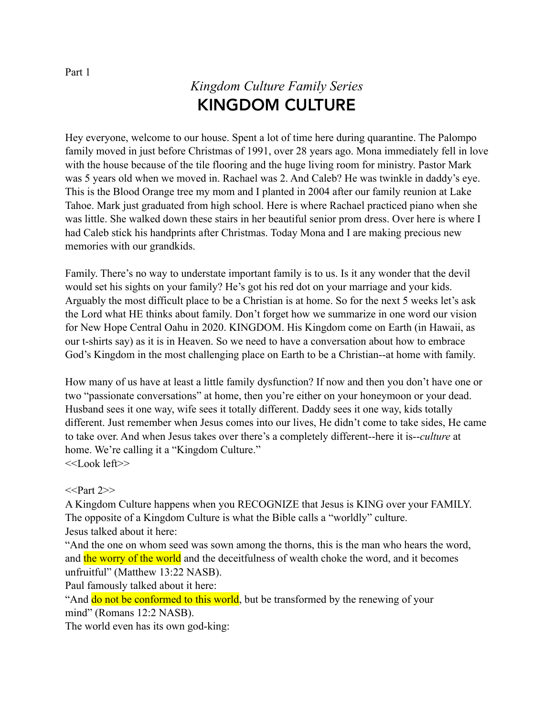Part 1

## *Kingdom Culture Family Series*  KINGDOM CULTURE

Hey everyone, welcome to our house. Spent a lot of time here during quarantine. The Palompo family moved in just before Christmas of 1991, over 28 years ago. Mona immediately fell in love with the house because of the tile flooring and the huge living room for ministry. Pastor Mark was 5 years old when we moved in. Rachael was 2. And Caleb? He was twinkle in daddy's eye. This is the Blood Orange tree my mom and I planted in 2004 after our family reunion at Lake Tahoe. Mark just graduated from high school. Here is where Rachael practiced piano when she was little. She walked down these stairs in her beautiful senior prom dress. Over here is where I had Caleb stick his handprints after Christmas. Today Mona and I are making precious new memories with our grandkids.

Family. There's no way to understate important family is to us. Is it any wonder that the devil would set his sights on your family? He's got his red dot on your marriage and your kids. Arguably the most difficult place to be a Christian is at home. So for the next 5 weeks let's ask the Lord what HE thinks about family. Don't forget how we summarize in one word our vision for New Hope Central Oahu in 2020. KINGDOM. His Kingdom come on Earth (in Hawaii, as our t-shirts say) as it is in Heaven. So we need to have a conversation about how to embrace God's Kingdom in the most challenging place on Earth to be a Christian--at home with family.

How many of us have at least a little family dysfunction? If now and then you don't have one or two "passionate conversations" at home, then you're either on your honeymoon or your dead. Husband sees it one way, wife sees it totally different. Daddy sees it one way, kids totally different. Just remember when Jesus comes into our lives, He didn't come to take sides, He came to take over. And when Jesus takes over there's a completely different--here it is--*culture* at home. We're calling it a "Kingdom Culture." <<Look left>>

 $<<$ Part 2>>

A Kingdom Culture happens when you RECOGNIZE that Jesus is KING over your FAMILY. The opposite of a Kingdom Culture is what the Bible calls a "worldly" culture. Jesus talked about it here:

"And the one on whom seed was sown among the thorns, this is the man who hears the word, and the worry of the world and the deceitfulness of wealth choke the word, and it becomes unfruitful" (Matthew 13:22 NASB).

Paul famously talked about it here:

"And do not be conformed to this world, but be transformed by the renewing of your mind" (Romans 12:2 NASB).

The world even has its own god-king: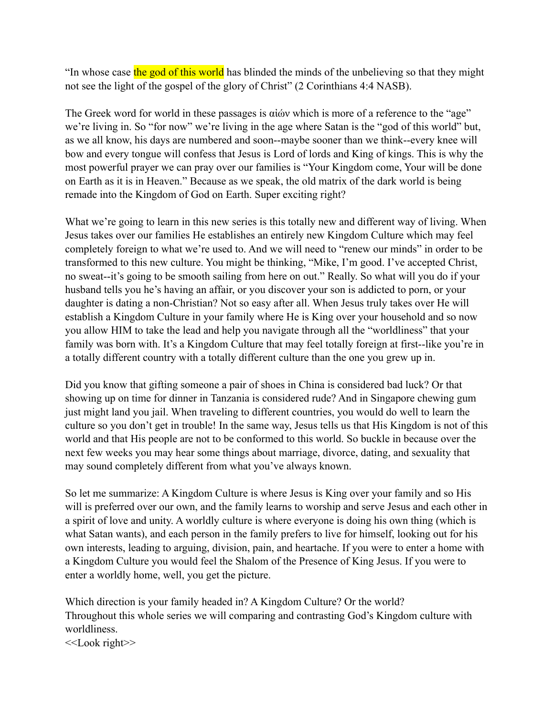"In whose case the god of this world has blinded the minds of the unbelieving so that they might not see the light of the gospel of the glory of Christ" (2 Corinthians 4:4 NASB).

The Greek word for world in these passages is αἰών which is more of a reference to the "age" we're living in. So "for now" we're living in the age where Satan is the "god of this world" but, as we all know, his days are numbered and soon--maybe sooner than we think--every knee will bow and every tongue will confess that Jesus is Lord of lords and King of kings. This is why the most powerful prayer we can pray over our families is "Your Kingdom come, Your will be done on Earth as it is in Heaven." Because as we speak, the old matrix of the dark world is being remade into the Kingdom of God on Earth. Super exciting right?

What we're going to learn in this new series is this totally new and different way of living. When Jesus takes over our families He establishes an entirely new Kingdom Culture which may feel completely foreign to what we're used to. And we will need to "renew our minds" in order to be transformed to this new culture. You might be thinking, "Mike, I'm good. I've accepted Christ, no sweat--it's going to be smooth sailing from here on out." Really. So what will you do if your husband tells you he's having an affair, or you discover your son is addicted to porn, or your daughter is dating a non-Christian? Not so easy after all. When Jesus truly takes over He will establish a Kingdom Culture in your family where He is King over your household and so now you allow HIM to take the lead and help you navigate through all the "worldliness" that your family was born with. It's a Kingdom Culture that may feel totally foreign at first--like you're in a totally different country with a totally different culture than the one you grew up in.

Did you know that gifting someone a pair of shoes in China is considered bad luck? Or that showing up on time for dinner in Tanzania is considered rude? And in Singapore chewing gum just might land you jail. When traveling to different countries, you would do well to learn the culture so you don't get in trouble! In the same way, Jesus tells us that His Kingdom is not of this world and that His people are not to be conformed to this world. So buckle in because over the next few weeks you may hear some things about marriage, divorce, dating, and sexuality that may sound completely different from what you've always known.

So let me summarize: A Kingdom Culture is where Jesus is King over your family and so His will is preferred over our own, and the family learns to worship and serve Jesus and each other in a spirit of love and unity. A worldly culture is where everyone is doing his own thing (which is what Satan wants), and each person in the family prefers to live for himself, looking out for his own interests, leading to arguing, division, pain, and heartache. If you were to enter a home with a Kingdom Culture you would feel the Shalom of the Presence of King Jesus. If you were to enter a worldly home, well, you get the picture.

Which direction is your family headed in? A Kingdom Culture? Or the world? Throughout this whole series we will comparing and contrasting God's Kingdom culture with worldliness.

<<Look right>>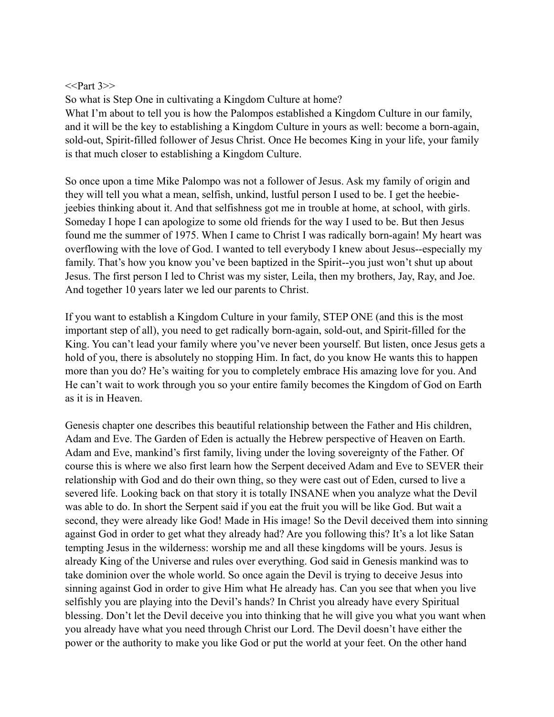## $<<$ Part 3>>

So what is Step One in cultivating a Kingdom Culture at home?

What I'm about to tell you is how the Palompos established a Kingdom Culture in our family, and it will be the key to establishing a Kingdom Culture in yours as well: become a born-again, sold-out, Spirit-filled follower of Jesus Christ. Once He becomes King in your life, your family is that much closer to establishing a Kingdom Culture.

So once upon a time Mike Palompo was not a follower of Jesus. Ask my family of origin and they will tell you what a mean, selfish, unkind, lustful person I used to be. I get the heebiejeebies thinking about it. And that selfishness got me in trouble at home, at school, with girls. Someday I hope I can apologize to some old friends for the way I used to be. But then Jesus found me the summer of 1975. When I came to Christ I was radically born-again! My heart was overflowing with the love of God. I wanted to tell everybody I knew about Jesus--especially my family. That's how you know you've been baptized in the Spirit--you just won't shut up about Jesus. The first person I led to Christ was my sister, Leila, then my brothers, Jay, Ray, and Joe. And together 10 years later we led our parents to Christ.

If you want to establish a Kingdom Culture in your family, STEP ONE (and this is the most important step of all), you need to get radically born-again, sold-out, and Spirit-filled for the King. You can't lead your family where you've never been yourself. But listen, once Jesus gets a hold of you, there is absolutely no stopping Him. In fact, do you know He wants this to happen more than you do? He's waiting for you to completely embrace His amazing love for you. And He can't wait to work through you so your entire family becomes the Kingdom of God on Earth as it is in Heaven.

Genesis chapter one describes this beautiful relationship between the Father and His children, Adam and Eve. The Garden of Eden is actually the Hebrew perspective of Heaven on Earth. Adam and Eve, mankind's first family, living under the loving sovereignty of the Father. Of course this is where we also first learn how the Serpent deceived Adam and Eve to SEVER their relationship with God and do their own thing, so they were cast out of Eden, cursed to live a severed life. Looking back on that story it is totally INSANE when you analyze what the Devil was able to do. In short the Serpent said if you eat the fruit you will be like God. But wait a second, they were already like God! Made in His image! So the Devil deceived them into sinning against God in order to get what they already had? Are you following this? It's a lot like Satan tempting Jesus in the wilderness: worship me and all these kingdoms will be yours. Jesus is already King of the Universe and rules over everything. God said in Genesis mankind was to take dominion over the whole world. So once again the Devil is trying to deceive Jesus into sinning against God in order to give Him what He already has. Can you see that when you live selfishly you are playing into the Devil's hands? In Christ you already have every Spiritual blessing. Don't let the Devil deceive you into thinking that he will give you what you want when you already have what you need through Christ our Lord. The Devil doesn't have either the power or the authority to make you like God or put the world at your feet. On the other hand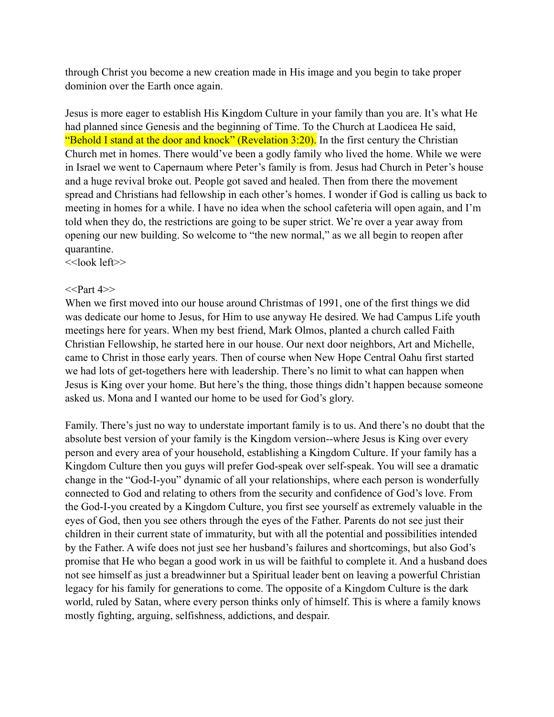through Christ you become a new creation made in His image and you begin to take proper dominion over the Earth once again.

Jesus is more eager to establish His Kingdom Culture in your family than you are. It's what He had planned since Genesis and the beginning of Time. To the Church at Laodicea He said, "Behold I stand at the door and knock" (Revelation  $3:20$ ). In the first century the Christian Church met in homes. There would've been a godly family who lived the home. While we were in Israel we went to Capernaum where Peter's family is from. Jesus had Church in Peter's house and a huge revival broke out. People got saved and healed. Then from there the movement spread and Christians had fellowship in each other's homes. I wonder if God is calling us back to meeting in homes for a while. I have no idea when the school cafeteria will open again, and I'm told when they do, the restrictions are going to be super strict. We're over a year away from opening our new building. So welcome to "the new normal," as we all begin to reopen after quarantine.

<<look left>>

## $<<$ Part 4>>

When we first moved into our house around Christmas of 1991, one of the first things we did was dedicate our home to Jesus, for Him to use anyway He desired. We had Campus Life youth meetings here for years. When my best friend, Mark Olmos, planted a church called Faith Christian Fellowship, he started here in our house. Our next door neighbors, Art and Michelle, came to Christ in those early years. Then of course when New Hope Central Oahu first started we had lots of get-togethers here with leadership. There's no limit to what can happen when Jesus is King over your home. But here's the thing, those things didn't happen because someone asked us. Mona and I wanted our home to be used for God's glory.

Family. There's just no way to understate important family is to us. And there's no doubt that the absolute best version of your family is the Kingdom version--where Jesus is King over every person and every area of your household, establishing a Kingdom Culture. If your family has a Kingdom Culture then you guys will prefer God-speak over self-speak. You will see a dramatic change in the "God-I-you" dynamic of all your relationships, where each person is wonderfully connected to God and relating to others from the security and confidence of God's love. From the God-I-you created by a Kingdom Culture, you first see yourself as extremely valuable in the eyes of God, then you see others through the eyes of the Father. Parents do not see just their children in their current state of immaturity, but with all the potential and possibilities intended by the Father. A wife does not just see her husband's failures and shortcomings, but also God's promise that He who began a good work in us will be faithful to complete it. And a husband does not see himself as just a breadwinner but a Spiritual leader bent on leaving a powerful Christian legacy for his family for generations to come. The opposite of a Kingdom Culture is the dark world, ruled by Satan, where every person thinks only of himself. This is where a family knows mostly fighting, arguing, selfishness, addictions, and despair.